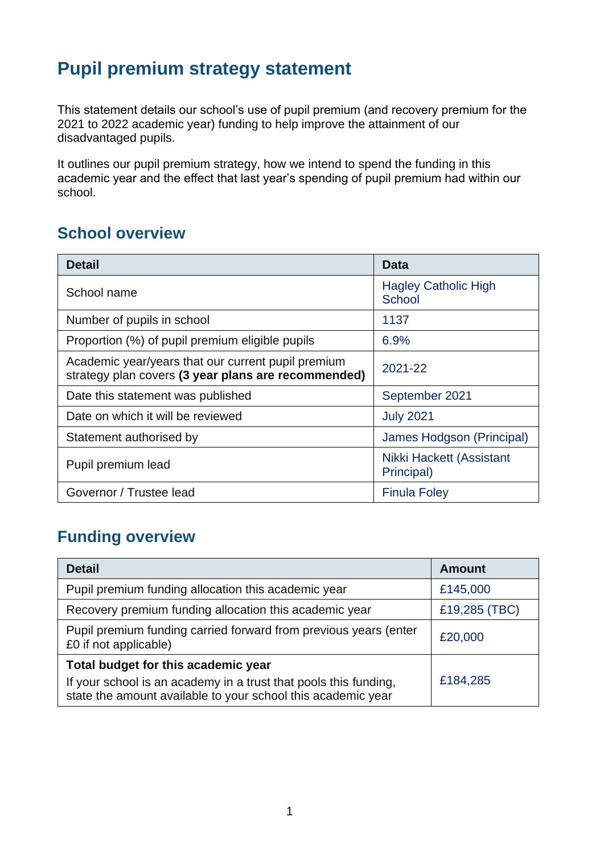## **Pupil premium strategy statement**

This statement details our school's use of pupil premium (and recovery premium for the 2021 to 2022 academic year) funding to help improve the attainment of our disadvantaged pupils.

It outlines our pupil premium strategy, how we intend to spend the funding in this academic year and the effect that last year's spending of pupil premium had within our school.

### **School overview**

| <b>Detail</b>                                                                                             | <b>Data</b>                            |
|-----------------------------------------------------------------------------------------------------------|----------------------------------------|
| School name                                                                                               | <b>Hagley Catholic High</b><br>School  |
| Number of pupils in school                                                                                | 1137                                   |
| Proportion (%) of pupil premium eligible pupils                                                           | 6.9%                                   |
| Academic year/years that our current pupil premium<br>strategy plan covers (3 year plans are recommended) | 2021-22                                |
| Date this statement was published                                                                         | September 2021                         |
| Date on which it will be reviewed                                                                         | <b>July 2021</b>                       |
| Statement authorised by                                                                                   | James Hodgson (Principal)              |
| Pupil premium lead                                                                                        | Nikki Hackett (Assistant<br>Principal) |
| Governor / Trustee lead                                                                                   | <b>Finula Foley</b>                    |

## **Funding overview**

| <b>Detail</b>                                                                                                                                                           | <b>Amount</b> |
|-------------------------------------------------------------------------------------------------------------------------------------------------------------------------|---------------|
| Pupil premium funding allocation this academic year                                                                                                                     | £145,000      |
| Recovery premium funding allocation this academic year                                                                                                                  | £19,285 (TBC) |
| Pupil premium funding carried forward from previous years (enter<br>£0 if not applicable)                                                                               | £20,000       |
| Total budget for this academic year<br>If your school is an academy in a trust that pools this funding,<br>state the amount available to your school this academic year | £184,285      |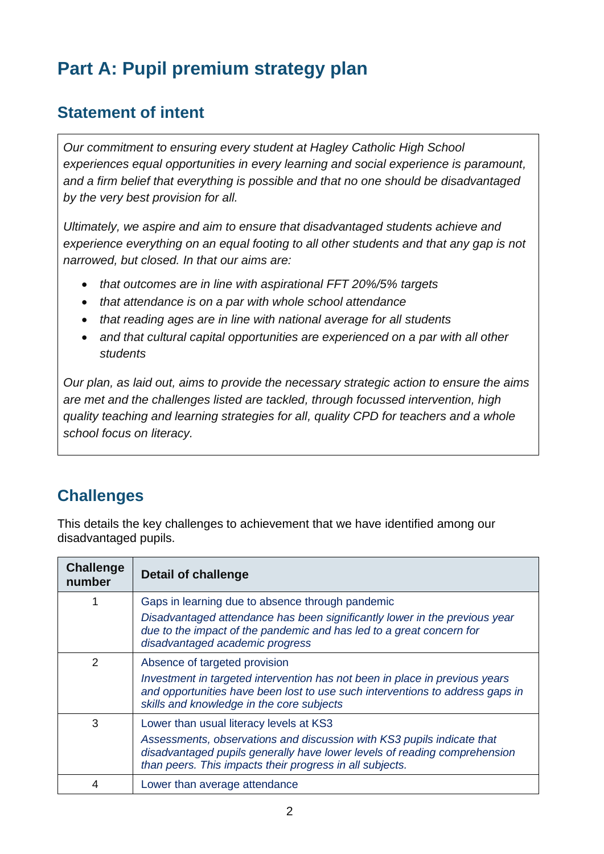# **Part A: Pupil premium strategy plan**

### **Statement of intent**

*Our commitment to ensuring every student at Hagley Catholic High School experiences equal opportunities in every learning and social experience is paramount, and a firm belief that everything is possible and that no one should be disadvantaged by the very best provision for all.*

*Ultimately, we aspire and aim to ensure that disadvantaged students achieve and experience everything on an equal footing to all other students and that any gap is not narrowed, but closed. In that our aims are:*

- *that outcomes are in line with aspirational FFT 20%/5% targets*
- *that attendance is on a par with whole school attendance*
- *that reading ages are in line with national average for all students*
- *and that cultural capital opportunities are experienced on a par with all other students*

*Our plan, as laid out, aims to provide the necessary strategic action to ensure the aims are met and the challenges listed are tackled, through focussed intervention, high quality teaching and learning strategies for all, quality CPD for teachers and a whole school focus on literacy.* 

## **Challenges**

This details the key challenges to achievement that we have identified among our disadvantaged pupils.

| <b>Challenge</b><br>number | <b>Detail of challenge</b>                                                                                                                                                                                                                                 |
|----------------------------|------------------------------------------------------------------------------------------------------------------------------------------------------------------------------------------------------------------------------------------------------------|
|                            | Gaps in learning due to absence through pandemic<br>Disadvantaged attendance has been significantly lower in the previous year<br>due to the impact of the pandemic and has led to a great concern for<br>disadvantaged academic progress                  |
| $\mathcal{P}$              | Absence of targeted provision<br>Investment in targeted intervention has not been in place in previous years<br>and opportunities have been lost to use such interventions to address gaps in<br>skills and knowledge in the core subjects                 |
| 3                          | Lower than usual literacy levels at KS3<br>Assessments, observations and discussion with KS3 pupils indicate that<br>disadvantaged pupils generally have lower levels of reading comprehension<br>than peers. This impacts their progress in all subjects. |
|                            | Lower than average attendance                                                                                                                                                                                                                              |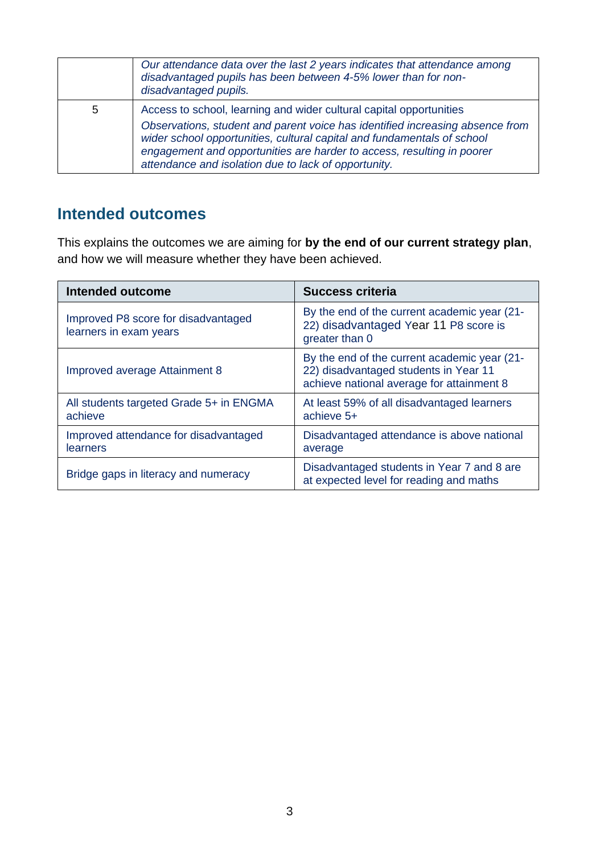|   | Our attendance data over the last 2 years indicates that attendance among<br>disadvantaged pupils has been between 4-5% lower than for non-<br>disadvantaged pupils.                                                                                                                                                                                              |
|---|-------------------------------------------------------------------------------------------------------------------------------------------------------------------------------------------------------------------------------------------------------------------------------------------------------------------------------------------------------------------|
| 5 | Access to school, learning and wider cultural capital opportunities<br>Observations, student and parent voice has identified increasing absence from<br>wider school opportunities, cultural capital and fundamentals of school<br>engagement and opportunities are harder to access, resulting in poorer<br>attendance and isolation due to lack of opportunity. |

#### **Intended outcomes**

This explains the outcomes we are aiming for **by the end of our current strategy plan**, and how we will measure whether they have been achieved.

| Intended outcome                                              | <b>Success criteria</b>                                                                                                            |
|---------------------------------------------------------------|------------------------------------------------------------------------------------------------------------------------------------|
| Improved P8 score for disadvantaged<br>learners in exam years | By the end of the current academic year (21-<br>22) disadvantaged Year 11 P8 score is<br>greater than 0                            |
| Improved average Attainment 8                                 | By the end of the current academic year (21-<br>22) disadvantaged students in Year 11<br>achieve national average for attainment 8 |
| All students targeted Grade 5+ in ENGMA<br>achieve            | At least 59% of all disadvantaged learners<br>achieve 5+                                                                           |
| Improved attendance for disadvantaged<br>learners             | Disadvantaged attendance is above national<br>average                                                                              |
| Bridge gaps in literacy and numeracy                          | Disadvantaged students in Year 7 and 8 are<br>at expected level for reading and maths                                              |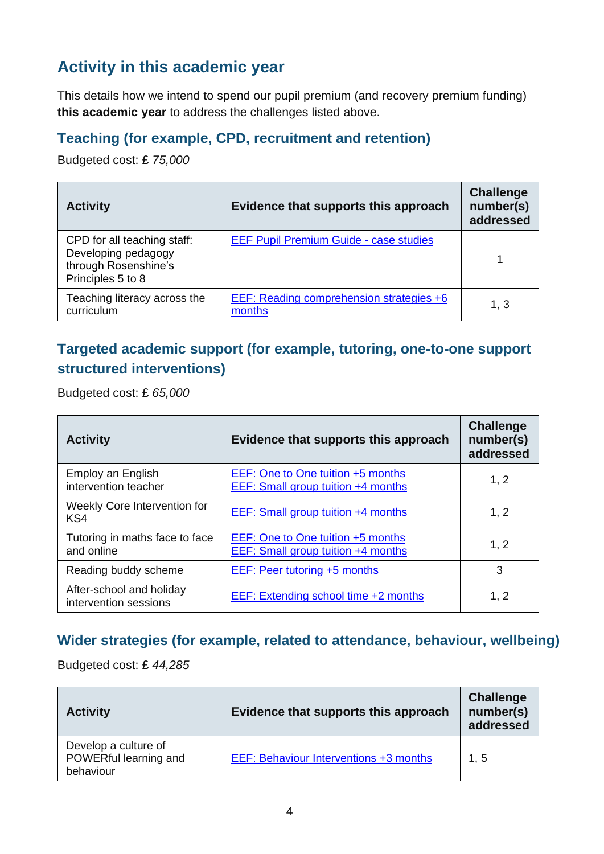## **Activity in this academic year**

This details how we intend to spend our pupil premium (and recovery premium funding) **this academic year** to address the challenges listed above.

#### **Teaching (for example, CPD, recruitment and retention)**

Budgeted cost: £ *75,000*

| <b>Activity</b>                                                                                 | Evidence that supports this approach                      | <b>Challenge</b><br>number(s)<br>addressed |
|-------------------------------------------------------------------------------------------------|-----------------------------------------------------------|--------------------------------------------|
| CPD for all teaching staff:<br>Developing pedagogy<br>through Rosenshine's<br>Principles 5 to 8 | <b>EEF Pupil Premium Guide - case studies</b>             |                                            |
| Teaching literacy across the<br>curriculum                                                      | <b>EEF: Reading comprehension strategies +6</b><br>months | 1, 3                                       |

#### **Targeted academic support (for example, tutoring, one-to-one support structured interventions)**

Budgeted cost: £ *65,000*

| <b>Activity</b>                                   | Evidence that supports this approach                                           | <b>Challenge</b><br>number(s)<br>addressed |
|---------------------------------------------------|--------------------------------------------------------------------------------|--------------------------------------------|
| Employ an English<br>intervention teacher         | EEF: One to One tuition +5 months<br>EEF: Small group tuition +4 months        | 1, 2                                       |
| Weekly Core Intervention for<br>KS4               | <b>EEF:</b> Small group tuition +4 months                                      | 1, 2                                       |
| Tutoring in maths face to face<br>and online      | EEF: One to One tuition +5 months<br><b>EEF: Small group tuition +4 months</b> | 1, 2                                       |
| Reading buddy scheme                              | EEF: Peer tutoring +5 months                                                   | 3                                          |
| After-school and holiday<br>intervention sessions | EEF: Extending school time +2 months                                           | 1, 2                                       |

#### **Wider strategies (for example, related to attendance, behaviour, wellbeing)**

Budgeted cost: £ *44,285*

| <b>Activity</b>                                            | Evidence that supports this approach   | <b>Challenge</b><br>number(s)<br>addressed |
|------------------------------------------------------------|----------------------------------------|--------------------------------------------|
| Develop a culture of<br>POWERful learning and<br>behaviour | EEF: Behaviour Interventions +3 months | 1, 5                                       |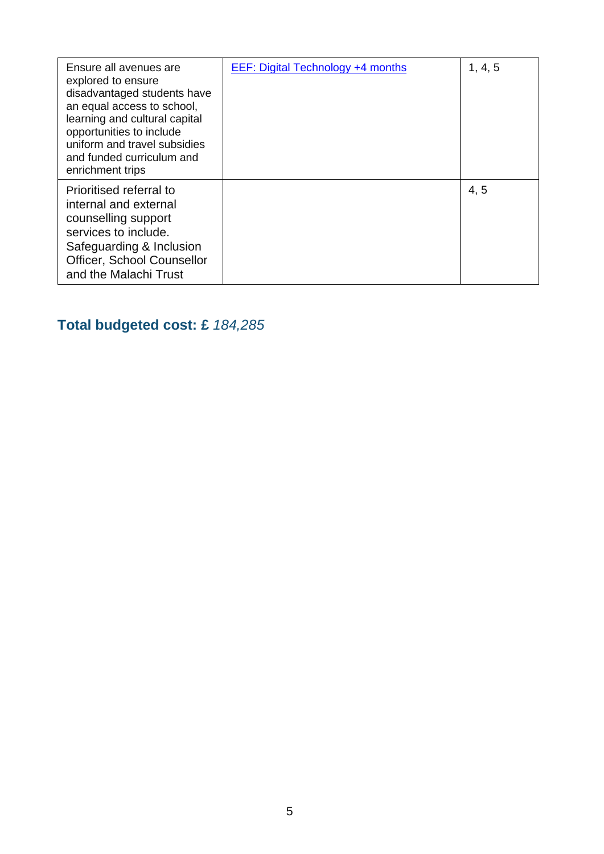| Ensure all avenues are<br>explored to ensure<br>disadvantaged students have<br>an equal access to school,<br>learning and cultural capital<br>opportunities to include<br>uniform and travel subsidies<br>and funded curriculum and<br>enrichment trips | EEF: Digital Technology +4 months | 1, 4, 5 |
|---------------------------------------------------------------------------------------------------------------------------------------------------------------------------------------------------------------------------------------------------------|-----------------------------------|---------|
| Prioritised referral to<br>internal and external<br>counselling support<br>services to include.<br>Safeguarding & Inclusion<br>Officer, School Counsellor<br>and the Malachi Trust                                                                      |                                   | 4, 5    |

## **Total budgeted cost: £** *184,285*